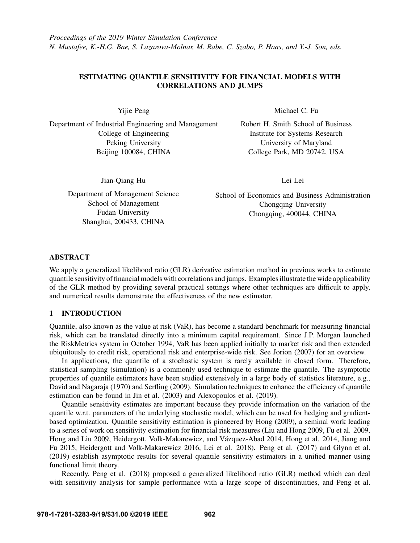# ESTIMATING QUANTILE SENSITIVITY FOR FINANCIAL MODELS WITH CORRELATIONS AND JUMPS

Yijie Peng

Department of Industrial Engineering and Management College of Engineering Peking University Beijing 100084, CHINA

Michael C. Fu

Robert H. Smith School of Business Institute for Systems Research University of Maryland College Park, MD 20742, USA

Jian-Qiang Hu

Department of Management Science School of Management Fudan University Shanghai, 200433, CHINA

Lei Lei

School of Economics and Business Administration Chongqing University Chongqing, 400044, CHINA

# ABSTRACT

We apply a generalized likelihood ratio (GLR) derivative estimation method in previous works to estimate quantile sensitivity of financial models with correlations and jumps. Examples illustrate the wide applicability of the GLR method by providing several practical settings where other techniques are difficult to apply, and numerical results demonstrate the effectiveness of the new estimator.

# 1 INTRODUCTION

Quantile, also known as the value at risk (VaR), has become a standard benchmark for measuring financial risk, which can be translated directly into a minimum capital requirement. Since J.P. Morgan launched the RiskMetrics system in October 1994, VaR has been applied initially to market risk and then extended ubiquitously to credit risk, operational risk and enterprise-wide risk. See [Jorion \(2007\)](#page-10-0) for an overview.

In applications, the quantile of a stochastic system is rarely available in closed form. Therefore, statistical sampling (simulation) is a commonly used technique to estimate the quantile. The asymptotic properties of quantile estimators have been studied extensively in a large body of statistics literature, e.g., [David and Nagaraja \(1970\)](#page-10-1) and [Serfling \(2009\).](#page-11-0) Simulation techniques to enhance the efficiency of quantile estimation can be found in [Jin et al. \(2003\)](#page-10-2) and [Alexopoulos et al. \(2019\).](#page-9-0)

Quantile sensitivity estimates are important because they provide information on the variation of the quantile w.r.t. parameters of the underlying stochastic model, which can be used for hedging and gradientbased optimization. Quantile sensitivity estimation is pioneered by [Hong \(2009\),](#page-10-3) a seminal work leading to a series of work on sensitivity estimation for financial risk measures [\(Liu and Hong 2009,](#page-10-4) [Fu et al. 2009,](#page-10-5) [Hong and Liu 2009,](#page-10-6) Heidergott, Volk-Makarewicz, and Vázquez-Abad 2014, [Hong et al. 2014,](#page-10-8) [Jiang and](#page-10-9) [Fu 2015,](#page-10-9) [Heidergott and Volk-Makarewicz 2016,](#page-10-10) [Lei et al. 2018\)](#page-10-11). [Peng et al. \(2017\)](#page-11-1) and [Glynn et al.](#page-10-12) [\(2019\)](#page-10-12) establish asymptotic results for several quantile sensitivity estimators in a unified manner using functional limit theory.

Recently, [Peng et al. \(2018\)](#page-11-2) proposed a generalized likelihood ratio (GLR) method which can deal with sensitivity analysis for sample performance with a large scope of discontinuities, and [Peng et al.](#page-11-3)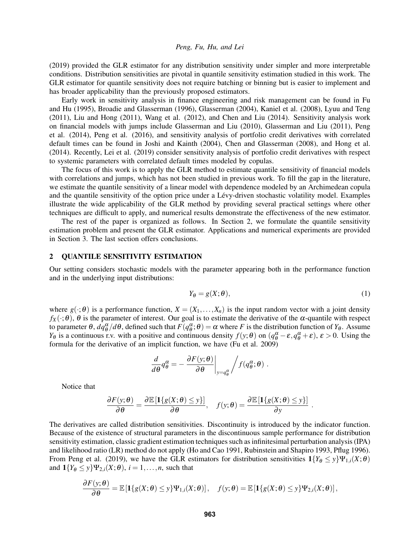[\(2019\)](#page-11-3) provided the GLR estimator for any distribution sensitivity under simpler and more interpretable conditions. Distribution sensitivities are pivotal in quantile sensitivity estimation studied in this work. The GLR estimator for quantile sensitivity does not require batching or binning but is easier to implement and has broader applicability than the previously proposed estimators.

Early work in sensitivity analysis in finance engineering and risk management can be found in [Fu](#page-10-13) [and Hu \(1995\),](#page-10-13) [Broadie and Glasserman \(1996\),](#page-10-14) [Glasserman \(2004\),](#page-10-15) [Kaniel et al. \(2008\),](#page-10-16) [Lyuu and Teng](#page-10-17) [\(2011\),](#page-10-17) [Liu and Hong \(2011\),](#page-10-18) [Wang et al. \(2012\),](#page-11-4) and [Chen and Liu \(2014\).](#page-10-19) Sensitivity analysis work on financial models with jumps include [Glasserman and Liu \(2010\),](#page-10-20) [Glasserman and Liu \(2011\),](#page-10-21) [Peng](#page-11-5) [et al. \(2014\),](#page-11-5) [Peng et al. \(2016\),](#page-11-6) and sensitivity analysis of portfolio credit derivatives with correlated default times can be found in [Joshi and Kainth \(2004\),](#page-10-22) [Chen and Glasserman \(2008\),](#page-10-23) and [Hong et al.](#page-10-24) [\(2014\).](#page-10-24) Recently, [Lei et al. \(2019\)](#page-10-25) consider sensitivity analysis of portfolio credit derivatives with respect to systemic parameters with correlated default times modeled by copulas.

The focus of this work is to apply the GLR method to estimate quantile sensitivity of financial models with correlations and jumps, which has not been studied in previous work. To fill the gap in the literature, we estimate the quantile sensitivity of a linear model with dependence modeled by an Archimedean copula and the quantile sensitivity of the option price under a Lévy-driven stochastic volatility model. Examples illustrate the wide applicability of the GLR method by providing several practical settings where other techniques are difficult to apply, and numerical results demonstrate the effectiveness of the new estimator.

The rest of the paper is organized as follows. In Section 2, we formulate the quantile sensitivity estimation problem and present the GLR estimator. Applications and numerical experiments are provided in Section 3. The last section offers conclusions.

# 2 QUANTILE SENSITIVITY ESTIMATION

Our setting considers stochastic models with the parameter appearing both in the performance function and in the underlying input distributions:

<span id="page-1-0"></span>
$$
Y_{\theta} = g(X; \theta), \tag{1}
$$

where  $g(\cdot;\theta)$  is a performance function,  $X = (X_1,\ldots,X_n)$  is the input random vector with a joint density  $f_X(\cdot;\theta)$ ,  $\theta$  is the parameter of interest. Our goal is to estimate the derivative of the  $\alpha$ -quantile with respect to parameter  $\theta$ ,  $dq_{\theta}^{\alpha}/d\theta$ , defined such that  $F(q_{\theta}^{\alpha};\theta) = \alpha$  where *F* is the distribution function of *Y*<sub> $\theta$ </sub>. Assume *Y*<sub>θ</sub> is a continuous r.v. with a positive and continuous density  $f(y; \theta)$  on  $(q_\theta^\alpha - \varepsilon, q_\theta^\alpha + \varepsilon)$ ,  $\varepsilon > 0$ . Using the formula for the derivative of an implicit function, we have [\(Fu et al. 2009\)](#page-10-5)

$$
\frac{d}{d\theta}q_{\theta}^{\alpha} = -\frac{\partial F(y;\theta)}{\partial \theta}\bigg|_{y=q_{\theta}^{\alpha}}\bigg/f(q_{\theta}^{\alpha};\theta).
$$

Notice that

$$
\frac{\partial F(y;\theta)}{\partial \theta} = \frac{\partial \mathbb{E}[\mathbf{1}\{g(X;\theta) \leq y\}]}{\partial \theta}, \quad f(y;\theta) = \frac{\partial \mathbb{E}[\mathbf{1}\{g(X;\theta) \leq y\}]}{\partial y}.
$$

The derivatives are called distribution sensitivities. Discontinuity is introduced by the indicator function. Because of the existence of structural parameters in the discontinuous sample performance for distribution sensitivity estimation, classic gradient estimation techniques such as infinitesimal perturbation analysis (IPA) and likelihood ratio (LR) method do not apply [\(Ho and Cao 1991,](#page-10-26) [Rubinstein and Shapiro 1993,](#page-11-7) [Pflug 1996\)](#page-11-8). From [Peng et al. \(2019\),](#page-11-3) we have the GLR estimators for distribution sensitivities  $1{Y_{\theta} \le y} \Psi_{1,i}(X; \theta)$ and  $\mathbf{1}{Y_{\theta} \leq y} \Psi_{2,i}(X;\theta)$ ,  $i = 1,...,n$ , such that

$$
\frac{\partial F(y;\theta)}{\partial \theta} = \mathbb{E}\left[\mathbf{1}\{g(X;\theta) \leq y\} \Psi_{1,i}(X;\theta)\right], \quad f(y;\theta) = \mathbb{E}\left[\mathbf{1}\{g(X;\theta) \leq y\} \Psi_{2,i}(X;\theta)\right],
$$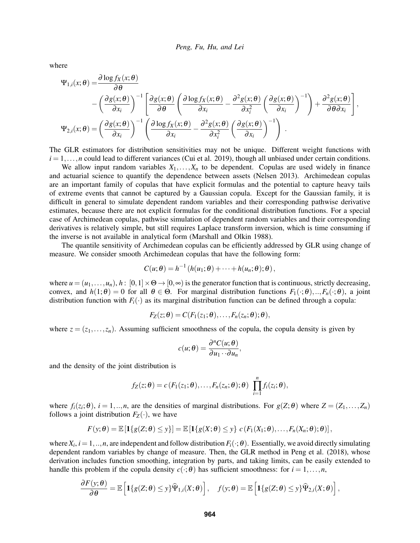where

$$
\Psi_{1,i}(x;\theta) = \frac{\partial \log f_X(x;\theta)}{\partial \theta} \n- \left(\frac{\partial g(x;\theta)}{\partial x_i}\right)^{-1} \left[\frac{\partial g(x;\theta)}{\partial \theta}\left(\frac{\partial \log f_X(x;\theta)}{\partial x_i} - \frac{\partial^2 g(x;\theta)}{\partial x_i^2}\left(\frac{\partial g(x;\theta)}{\partial x_i}\right)^{-1}\right) + \frac{\partial^2 g(x;\theta)}{\partial \theta \partial x_i}\right],
$$
\n
$$
\Psi_{2,i}(x;\theta) = \left(\frac{\partial g(x;\theta)}{\partial x_i}\right)^{-1} \left(\frac{\partial \log f_X(x;\theta)}{\partial x_i} - \frac{\partial^2 g(x;\theta)}{\partial x_i^2}\left(\frac{\partial g(x;\theta)}{\partial x_i}\right)^{-1}\right).
$$

The GLR estimators for distribution sensitivities may not be unique. Different weight functions with  $i = 1, \ldots, n$  could lead to different variances [\(Cui et al. 2019\)](#page-10-27), though all unbiased under certain conditions.

We allow input random variables  $X_1, \ldots, X_n$  to be dependent. Copulas are used widely in finance and actuarial science to quantify the dependence between assets [\(Nelsen 2013\)](#page-10-28). Archimedean copulas are an important family of copulas that have explicit formulas and the potential to capture heavy tails of extreme events that cannot be captured by a Gaussian copula. Except for the Gaussian family, it is difficult in general to simulate dependent random variables and their corresponding pathwise derivative estimates, because there are not explicit formulas for the conditional distribution functions. For a special case of Archimedean copulas, pathwise simulation of dependent random variables and their corresponding derivatives is relatively simple, but still requires Laplace transform inversion, which is time consuming if the inverse is not available in analytical form [\(Marshall and Olkin 1988\)](#page-10-29).

The quantile sensitivity of Archimedean copulas can be efficiently addressed by GLR using change of measure. We consider smooth Archimedean copulas that have the following form:

$$
C(u; \theta) = h^{-1} (h(u_1; \theta) + \cdots + h(u_n; \theta); \theta),
$$

where  $u = (u_1, \ldots, u_n)$ ,  $h: [0,1] \times \Theta \rightarrow [0,\infty)$  is the generator function that is continuous, strictly decreasing, convex, and  $h(1; \theta) = 0$  for all  $\theta \in \Theta$ . For marginal distribution functions  $F_1(\cdot; \theta)$ , ..,  $F_n(\cdot; \theta)$ , a joint distribution function with  $F_i(\cdot)$  as its marginal distribution function can be defined through a copula:

$$
F_Z(z; \theta) = C(F_1(z_1; \theta), \ldots, F_n(z_n; \theta); \theta),
$$

where  $z = (z_1, \ldots, z_n)$ . Assuming sufficient smoothness of the copula, the copula density is given by

$$
c(u; \theta) = \frac{\partial^n C(u; \theta)}{\partial u_1 \cdots \partial u_n},
$$

and the density of the joint distribution is

$$
f_Z(z;\theta) = c(F_1(z_1;\theta),\ldots,F_n(z_n;\theta);\theta) \prod_{i=1}^n f_i(z_i;\theta),
$$

where  $f_i(z_i; \theta)$ ,  $i = 1, ..., n$ , are the densities of marginal distributions. For  $g(Z; \theta)$  where  $Z = (Z_1, ..., Z_n)$ follows a joint distribution  $F_Z(\cdot)$ , we have

$$
F(y; \theta) = \mathbb{E}\left[\mathbf{1}\{g(Z; \theta) \leq y\}\right] = \mathbb{E}\left[\mathbf{1}\{g(X; \theta) \leq y\} \ c\left(F_1(X_1; \theta), \ldots, F_n(X_n; \theta); \theta\right)\right],
$$

where  $X_i$ ,  $i = 1, ..., n$ , are independent and follow distribution  $F_i(\cdot; \theta)$ . Essentially, we avoid directly simulating dependent random variables by change of measure. Then, the GLR method in [Peng et al. \(2018\),](#page-11-2) whose derivation includes function smoothing, integration by parts, and taking limits, can be easily extended to handle this problem if the copula density  $c(\cdot;\theta)$  has sufficient smoothness: for  $i = 1, ..., n$ ,

$$
\frac{\partial F(y;\theta)}{\partial \theta} = \mathbb{E}\left[\mathbf{1}\{g(Z;\theta) \leq y\}\widehat{\Psi}_{1,i}(X;\theta)\right], \quad f(y;\theta) = \mathbb{E}\left[\mathbf{1}\{g(Z;\theta) \leq y\}\widehat{\Psi}_{2,i}(X;\theta)\right],
$$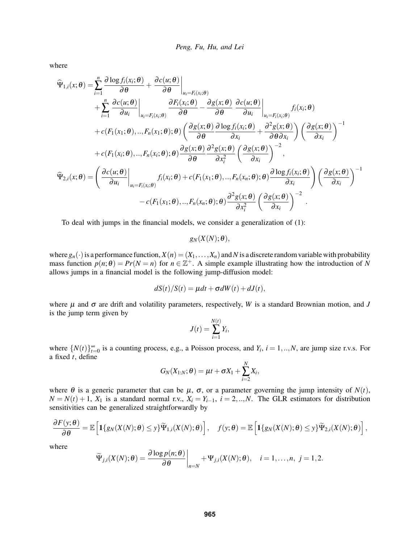where

$$
\widehat{\Psi}_{1,i}(x;\theta) = \sum_{i=1}^{n} \frac{\partial \log f_i(x_i;\theta)}{\partial \theta} + \frac{\partial c(u;\theta)}{\partial \theta} \Big|_{u_i = F_i(x_i;\theta)} \n+ \sum_{i=1}^{n} \frac{\partial c(u;\theta)}{\partial u_i} \Big|_{u_i = F_i(x_i;\theta)} \frac{\partial F_i(x_i;\theta)}{\partial \theta} - \frac{\partial g(x;\theta)}{\partial \theta} \frac{\partial c(u;\theta)}{\partial u_i} \Big|_{u_i = F_i(x_i;\theta)} f_i(x_i;\theta) \n+ c(F_1(x_1;\theta),...,F_n(x_1;\theta); \theta) \left( \frac{\partial g(x;\theta)}{\partial \theta} \frac{\partial \log f_i(x_i;\theta)}{\partial x_i} + \frac{\partial^2 g(x;\theta)}{\partial \theta \partial x_i} \right) \left( \frac{\partial g(x;\theta)}{\partial x_i} \right)^{-1} \n+ c(F_1(x_i;\theta),...,F_n(x_i;\theta); \theta) \frac{\partial g(x;\theta)}{\partial \theta} \frac{\partial^2 g(x;\theta)}{\partial x_i^2} \left( \frac{\partial g(x;\theta)}{\partial x_i} \right)^{-2}, \n\widehat{\Psi}_{2,i}(x;\theta) = \left( \frac{\partial c(u;\theta)}{\partial u_i} \Big|_{u_i = F_i(x_i;\theta)} f_i(x_i;\theta) + c(F_1(x_1;\theta),...,F_n(x_n;\theta); \theta) \frac{\partial \log f_i(x_i;\theta)}{\partial x_i} \right) \left( \frac{\partial g(x;\theta)}{\partial x_i} \right)^{-1} \n- c(F_1(x_1;\theta),...,F_n(x_n;\theta); \theta) \frac{\partial^2 g(x;\theta)}{\partial x_i^2} \left( \frac{\partial g(x;\theta)}{\partial x_i} \right)^{-2}.
$$

To deal with jumps in the financial models, we consider a generalization of [\(1\)](#page-1-0):

 $g_N(X(N); \theta),$ 

where  $g_n(\cdot)$  is a performance function,  $X(n) = (X_1, \ldots, X_n)$  and N is a discrete random variable with probability mass function  $p(n; \theta) = Pr(N = n)$  for  $n \in \mathbb{Z}^+$ . A simple example illustrating how the introduction of *N* allows jumps in a financial model is the following jump-diffusion model:

$$
dS(t)/S(t) = \mu dt + \sigma dW(t) + dJ(t),
$$

where  $\mu$  and  $\sigma$  are drift and volatility parameters, respectively, *W* is a standard Brownian motion, and *J* is the jump term given by

$$
J(t) = \sum_{i=1}^{N(t)} Y_i,
$$

where  $\{N(t)\}_{t=0}^{\infty}$  is a counting process, e.g., a Poisson process, and  $Y_i$ ,  $i = 1, ..., N$ , are jump size r.v.s. For a fixed *t*, define

$$
G_N(X_{1:N};\theta) = \mu t + \sigma X_1 + \sum_{i=2}^N X_i,
$$

where  $\theta$  is a generic parameter that can be  $\mu$ ,  $\sigma$ , or a parameter governing the jump intensity of  $N(t)$ ,  $N = N(t) + 1$ ,  $X_1$  is a standard normal r.v.,  $X_i = Y_{i-1}$ ,  $i = 2,...,N$ . The GLR estimators for distribution sensitivities can be generalized straightforwardly by

$$
\frac{\partial F(y;\theta)}{\partial \theta} = \mathbb{E}\left[\mathbf{1}\{g_N(X(N);\theta) \leq y\}\widetilde{\Psi}_{1,i}(X(N);\theta)\right], \quad f(y;\theta) = \mathbb{E}\left[\mathbf{1}\{g_N(X(N);\theta) \leq y\}\widetilde{\Psi}_{2,i}(X(N);\theta)\right],
$$

where

$$
\widetilde{\Psi}_{j,i}(X(N);\theta)=\frac{\partial \log p(n;\theta)}{\partial \theta}\bigg|_{n=N}+\Psi_{j,i}(X(N);\theta), \quad i=1,\ldots,n, \ j=1,2.
$$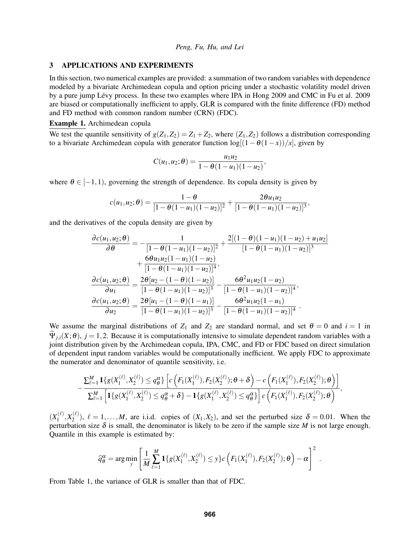#### 3 APPLICATIONS AND EXPERIMENTS

In this section, two numerical examples are provided: a summation of two random variables with dependence modeled by a bivariate Archimedean copula and option pricing under a stochastic volatility model driven by a pure jump Lévy process. In these two examples where IPA in [Hong 2009](#page-10-3) and CMC in [Fu et al. 2009](#page-10-5) are biased or computationally inefficient to apply, GLR is compared with the finite difference (FD) method and FD method with common random number (CRN) (FDC).

## Example 1. Archimedean copula

We test the quantile sensitivity of  $g(Z_1, Z_2) = Z_1 + Z_2$ , where  $(Z_1, Z_2)$  follows a distribution corresponding to a bivariate Archimedean copula with generator function  $\log[(1-\theta(1-x))/x]$ , given by

$$
C(u_1, u_2; \theta) = \frac{u_1 u_2}{1 - \theta (1 - u_1)(1 - u_2)},
$$

where  $\theta \in [-1,1)$ , governing the strength of dependence. Its copula density is given by

$$
c(u_1, u_2; \theta) = \frac{1-\theta}{[1-\theta(1-u_1)(1-u_2)]^2} + \frac{2\theta u_1 u_2}{[1-\theta(1-u_1)(1-u_2)]^3},
$$

and the derivatives of the copula density are given by

$$
\frac{\partial c(u_1, u_2; \theta)}{\partial \theta} = -\frac{1}{[1 - \theta(1 - u_1)(1 - u_2)]^2} + \frac{2[(1 - \theta)(1 - u_1)(1 - u_2) + u_1u_2]}{[1 - \theta(1 - u_1)(1 - u_2)]^3} \n+ \frac{6\theta u_1 u_2(1 - u_1)(1 - u_2)}{[1 - \theta(1 - u_1)(1 - u_2)]^4}, \n\frac{\partial c(u_1, u_2; \theta)}{\partial u_1} = \frac{2\theta [u_2 - (1 - \theta)(1 - u_2)]}{[1 - \theta(1 - u_1)(1 - u_2)]^3} - \frac{6\theta^2 u_1 u_2(1 - u_2)}{[1 - \theta(1 - u_1)(1 - u_2)]^4}, \n\frac{\partial c(u_1, u_2; \theta)}{\partial u_2} = \frac{2\theta [u_1 - (1 - \theta)(1 - u_1)]}{[1 - \theta(1 - u_1)(1 - u_2)]^3} - \frac{6\theta^2 u_1 u_2(1 - u_1)}{[1 - \theta(1 - u_1)(1 - u_2)]^4}.
$$

We assume the marginal distributions of  $Z_1$  and  $Z_2$  are standard normal, and set  $\theta = 0$  and  $i = 1$  in  $\hat{\Psi}_{i,i}(X;\theta)$ ,  $j = 1,2$ . Because it is computationally intensive to simulate dependent random variables with a joint distribution given by the Archimedean copula, IPA, CMC, and FD or FDC based on direct simulation of dependent input random variables would be computationally inefficient. We apply FDC to approximate the numerator and denominator of quantile sensitivity, i.e.

$$
-\frac{\sum_{\ell=1}^{M} \mathbf{1}\{g(X_1^{(\ell)}, X_2^{(\ell)}) \leq q_\theta^{\alpha}\}\left[c\left(F_1(X_1^{(\ell)}), F_2(X_2^{(\ell)}); \theta + \delta\right) - c\left(F_1(X_1^{(\ell)}), F_2(X_2^{(\ell)}); \theta\right)\right]}{\sum_{\ell=1}^{M} \left[\mathbf{1}\{g(X_1^{(\ell)}, X_2^{(\ell)}) \leq q_\theta^{\alpha} + \delta\} - \mathbf{1}\{g(X_1^{(\ell)}, X_2^{(\ell)}) \leq q_\theta^{\alpha}\}\right]c\left(F_1(X_1^{(\ell)}), F_2(X_2^{(\ell)}); \theta\right)},
$$

 $(X_1^{(\ell)}$  $\chi_1^{(\ell)}, X_2^{(\ell)}$  $\chi_2^{(t)}$ ,  $\ell = 1,...,M$ , are i.i.d. copies of  $(X_1, X_2)$ , and set the perturbed size  $\delta = 0.01$ . When the perturbation size  $\delta$  is small, the denominator is likely to be zero if the sample size *M* is not large enough. Quantile in this example is estimated by:

$$
\widehat{q}_{\theta}^{\alpha} = \arg \min_{y} \left[ \frac{1}{M} \sum_{\ell=1}^{M} \mathbf{1} \{ g(X_1^{(\ell)}, X_2^{(\ell)}) \leq y \} c \left( F_1(X_1^{(\ell)}), F_2(X_2^{(\ell)}); \theta \right) - \alpha \right]^2.
$$

From Table [1,](#page-5-0) the variance of GLR is smaller than that of FDC.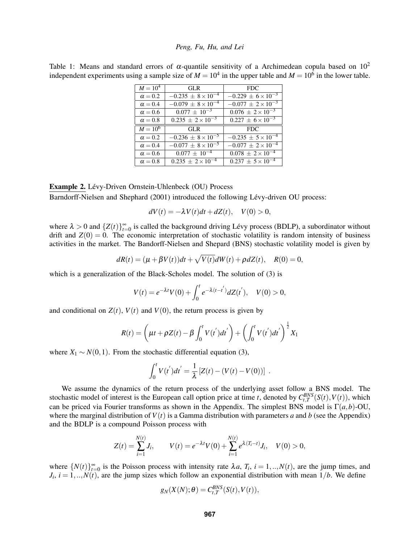<span id="page-5-0"></span>Table 1: Means and standard errors of  $\alpha$ -quantile sensitivity of a Archimedean copula based on  $10^2$ independent experiments using a sample size of  $M = 10^4$  in the upper table and  $M = 10^6$  in the lower table.

| $M = 10^4$     | GL R                          | <b>FDC</b>                    |  |  |
|----------------|-------------------------------|-------------------------------|--|--|
| $\alpha = 0.2$ | $-0.235 \pm 8 \times 10^{-4}$ | $-0.229 \pm 6 \times 10^{-3}$ |  |  |
| $\alpha = 0.4$ | $-0.079 \pm 8 \times 10^{-4}$ | $-0.077 \pm 2 \times 10^{-3}$ |  |  |
| $\alpha = 0.6$ | $0.077 \pm 10^{-3}$           | $0.076 \pm 2 \times 10^{-3}$  |  |  |
| $\alpha = 0.8$ | $0.235 \pm 2 \times 10^{-3}$  | $0.227 \pm 6 \times 10^{-3}$  |  |  |
| $M = 10^6$     | <b>GLR</b>                    | <b>FDC</b>                    |  |  |
| $\alpha = 0.2$ | $-0.236 \pm 8 \times 10^{-5}$ | $-0.235 \pm 5 \times 10^{-4}$ |  |  |
| $\alpha = 0.4$ | $-0.077 \pm 8 \times 10^{-5}$ | $-0.077 \pm 2 \times 10^{-4}$ |  |  |
| $\alpha = 0.6$ | $0.077 \pm 10^{-4}$           | $0.078 \pm 2 \times 10^{-4}$  |  |  |
| $\alpha = 0.8$ | $0.235 \pm 2 \times 10^{-4}$  | $0.237 \pm 5 \times 10^{-4}$  |  |  |

### Example 2. Lévy-Driven Ornstein-Uhlenbeck (OU) Process

[Barndorff-Nielsen and Shephard \(2001\)](#page-9-1) introduced the following Lévy-driven OU process:

$$
dV(t) = -\lambda V(t)dt + dZ(t), \quad V(0) > 0,
$$

where  $\lambda > 0$  and  $\{Z(t)\}_{t=0}^{\infty}$  is called the background driving Lévy process (BDLP), a subordinator without drift and  $Z(0) = 0$ . The economic interpretation of stochastic volatility is random intensity of business activities in the market. The Bandorff-Nielsen and Shepard (BNS) stochastic volatility model is given by

$$
dR(t) = (\mu + \beta V(t))dt + \sqrt{V(t)}dW(t) + \rho dZ(t), \quad R(0) = 0,
$$

which is a generalization of the Black-Scholes model. The solution of [\(3\)](#page-5-0) is

$$
V(t) = e^{-\lambda t} V(0) + \int_0^t e^{-\lambda (t-t')} dZ(t'), \quad V(0) > 0,
$$

and conditional on  $Z(t)$ ,  $V(t)$  and  $V(0)$ , the return process is given by

$$
R(t) = \left(\mu t + \rho Z(t) - \beta \int_0^t V(t^{'}) dt^{'}\right) + \left(\int_0^t V(t^{'}) dt^{'}\right)^{\frac{1}{2}} X_1
$$

where  $X_1 \sim N(0,1)$ . From the stochastic differential equation [\(3\)](#page-5-0),

$$
\int_0^t V(t^{'})dt^{'} = \frac{1}{\lambda} [Z(t) - (V(t) - V(0))].
$$

We assume the dynamics of the return process of the underlying asset follow a BNS model. The stochastic model of interest is the European call option price at time *t*, denoted by  $C_{t,T}^{BNS}(S(t),V(t))$ , which can be priced via Fourier transforms as shown in the Appendix. The simplest BNS model is  $\Gamma(a,b)$ -OU, where the marginal distribution of  $V(t)$  is a Gamma distribution with parameters *a* and *b* (see the Appendix) and the BDLP is a compound Poisson process with

$$
Z(t) = \sum_{i=1}^{N(t)} J_i, \qquad V(t) = e^{-\lambda t} V(0) + \sum_{i=1}^{N(t)} e^{\lambda (T_i - t)} J_i, \quad V(0) > 0,
$$

where  $\{N(t)\}_{t=0}^{\infty}$  is the Poisson process with intensity rate  $\lambda a$ ,  $T_i$ ,  $i = 1,..,N(t)$ , are the jump times, and  $J_i$ ,  $i = 1, ..., N(t)$ , are the jump sizes which follow an exponential distribution with mean  $1/b$ . We define

$$
g_N(X(N); \theta) = C_{t,T}^{BNS}(S(t), V(t)),
$$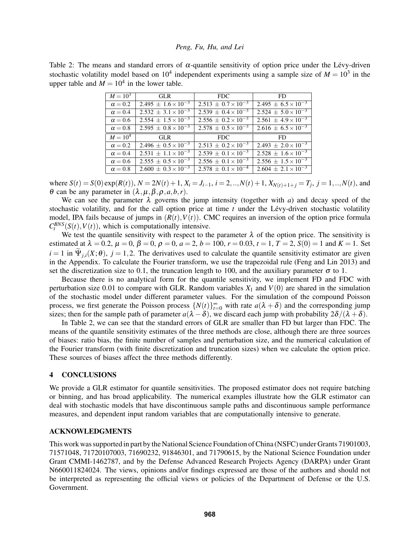<span id="page-6-0"></span>Table 2: The means and standard errors of  $\alpha$ -quantile sensitivity of option price under the Lévy-driven stochastic volatility model based on  $10^4$  independent experiments using a sample size of  $M = 10^3$  in the upper table and  $M = 10<sup>4</sup>$  in the lower table.

| $M = 10^3$     | <b>GLR</b>                                | FDC.                           | FD                             |
|----------------|-------------------------------------------|--------------------------------|--------------------------------|
| $\alpha = 0.2$ | $2.495 \pm 1.6 \times \overline{10^{-3}}$ | $2.513 \pm 0.7 \times 10^{-3}$ | $2.495 \pm 6.5 \times 10^{-3}$ |
| $\alpha = 0.4$ | $2.532 \pm 3.1 \times 10^{-3}$            | $2.539 \pm 0.4 \times 10^{-3}$ | $2.524 \pm 5.0 \times 10^{-3}$ |
| $\alpha = 0.6$ | $2.554 \pm 1.5 \times 10^{-3}$            | $2.556 \pm 0.2 \times 10^{-3}$ | $2.561 \pm 4.9 \times 10^{-3}$ |
| $\alpha = 0.8$ | $2.595 \pm 0.8 \times 10^{-3}$            | $2.578 \pm 0.5 \times 10^{-3}$ | $2.616 \pm 6.5 \times 10^{-3}$ |
| $M = 10^4$     | GL R                                      | FDC.                           | FD.                            |
| $\alpha = 0.2$ | $2.496 \pm 0.5 \times 10^{-3}$            | $2.513 + 0.2 \times 10^{-3}$   | $2.493 \pm 2.0 \times 10^{-3}$ |
| $\alpha = 0.4$ | $2.53\overline{1 \pm 1.1 \times 10^{-3}}$ | $2.539 \pm 0.1 \times 10^{-3}$ | $2.528 \pm 1.6 \times 10^{-3}$ |
| $\alpha = 0.6$ | $2.55\overline{5} \pm 0.5 \times 10^{-3}$ | $2.556 + 0.1 \times 10^{-3}$   | $2.556 \pm 1.5 \times 10^{-3}$ |
|                | $2.600 \pm 0.3 \times 10^{-3}$            |                                |                                |

where  $S(t) = S(0) \exp(R(t))$ ,  $N = 2N(t) + 1$ ,  $X_i = J_{i-1}$ ,  $i = 2, ..., N(t) + 1$ ,  $X_{N(t)+1+j} = T_j$ ,  $j = 1, ..., N(t)$ , and θ can be any parameter in (λ,µ,β,ρ,*a*,*b*,*r*).

We can see the parameter  $\lambda$  governs the jump intensity (together with *a*) and decay speed of the stochastic volatility, and for the call option price at time  $t$  under the Lévy-driven stochastic volatility model, IPA fails because of jumps in  $(R(t), V(t))$ . CMC requires an inversion of the option price formula  $C_t^{BNS}(S(t), V(t))$ , which is computationally intensive.

We test the quantile sensitivity with respect to the parameter  $\lambda$  of the option price. The sensitivity is estimated at  $\lambda = 0.2$ ,  $\mu = 0$ ,  $\beta = 0$ ,  $\rho = 0$ ,  $a = 2$ ,  $b = 100$ ,  $r = 0.03$ ,  $t = 1$ ,  $T = 2$ ,  $S(0) = 1$  and  $K = 1$ . Set  $i = 1$  in  $\tilde{\Psi}_{i,i}(X;\theta)$ ,  $j = 1,2$ . The derivatives used to calculate the quantile sensitivity estimator are given in the Appendix. To calculate the Fourier transform, we use the trapezoidal rule [\(Feng and Lin 2013\)](#page-10-30) and set the discretization size to 0.1, the truncation length to 100, and the auxiliary parameter  $\sigma$  to 1.

Because there is no analytical form for the quantile sensitivity, we implement FD and FDC with perturbation size 0.01 to compare with GLR. Random variables  $X_1$  and  $V(0)$  are shared in the simulation of the stochastic model under different parameter values. For the simulation of the compound Poisson process, we first generate the Poisson process  $\{N(t)\}_{t=0}^{\infty}$  with rate  $a(\lambda + \delta)$  and the corresponding jump sizes; then for the sample path of parameter  $a(\lambda - \delta)$ , we discard each jump with probability  $2\delta/(\lambda + \delta)$ .

In Table [2,](#page-6-0) we can see that the standard errors of GLR are smaller than FD but larger than FDC. The means of the quantile sensitivity estimates of the three methods are close, although there are three sources of biases: ratio bias, the finite number of samples and perturbation size, and the numerical calculation of the Fourier transform (with finite discretization and truncation sizes) when we calculate the option price. These sources of biases affect the three methods differently.

## 4 CONCLUSIONS

We provide a GLR estimator for quantile sensitivities. The proposed estimator does not require batching or binning, and has broad applicability. The numerical examples illustrate how the GLR estimator can deal with stochastic models that have discontinuous sample paths and discontinuous sample performance measures, and dependent input random variables that are computationally intensive to generate.

## ACKNOWLEDGMENTS

This work was supported in part by the National Science Foundation of China (NSFC) under Grants 71901003, 71571048, 71720107003, 71690232, 91846301, and 71790615, by the National Science Foundation under Grant CMMI-1462787, and by the Defense Advanced Research Projects Agency (DARPA) under Grant N660011824024. The views, opinions and/or findings expressed are those of the authors and should not be interpreted as representing the official views or policies of the Department of Defense or the U.S. Government.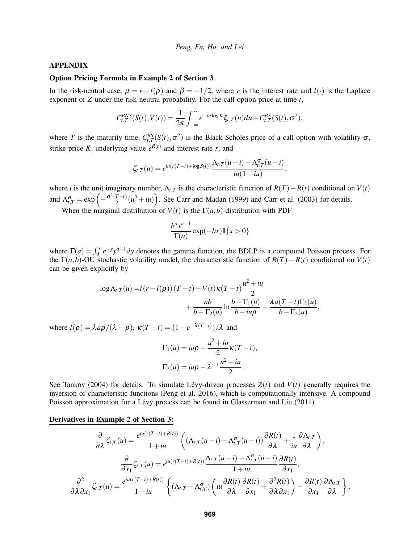#### APPENDIX

#### Option Pricing Formula in Example 2 of Section 3.

In the risk-neutral case,  $\mu = r - l(\rho)$  and  $\beta = -1/2$ , where *r* is the interest rate and *l*(·) is the Laplace exponent of *Z* under the risk-neutral probability. For the call option price at time *t*,

$$
C_{t,T}^{BNS}(S(t),V(t))=\frac{1}{2\pi}\int_{-\infty}^{\infty}e^{-iu\log K}\zeta_{t,T}(u)du+C_{t,T}^{BS}(S(t),\sigma^2),
$$

where *T* is the maturity time,  $C_{t,T}^{BS}(S(t), \sigma^2)$  is the Black-Scholes price of a call option with volatility  $\sigma$ , strike price K, underlying value  $e^{R(t)}$  and interest rate r, and

$$
\zeta_{t,T}(u) = e^{iu(r(T-t)+\log S(t))} \frac{\Lambda_{t,T}(u-i) - \Lambda_{t,T}^{\sigma}(u-i)}{iu(1+iu)},
$$

where *i* is the unit imaginary number,  $\Lambda_{t,T}$  is the characteristic function of  $R(T) - R(t)$  conditional on  $V(t)$ and  $\Lambda_{t,T}^{\sigma} = \exp\left(-\frac{\sigma^2(T-t)}{2}\right)$  $\left(\frac{T-t}{2}\right)(u^2+iu)\right)$ . See [Carr and Madan \(1999\)](#page-10-31) and [Carr et al. \(2003\)](#page-10-32) for details.

When the marginal distribution of  $V(t)$  is the  $\Gamma(a,b)$ -distribution with PDF

$$
\frac{b^a x^{a-1}}{\Gamma(a)} \exp(-bx) \mathbf{1}\{x > 0\}
$$

where  $\Gamma(a) = \int_0^\infty e^{-y} y^{a-1} dy$  denotes the gamma function, the BDLP is a compound Poisson process. For the  $\Gamma(a,b)$ -OU stochastic volatility model, the characteristic function of  $R(T) - R(t)$  conditional on  $V(t)$ can be given explicitly by

$$
\log \Lambda_{t,T}(u) = i (r - l(\rho))(T - t) - V(t)\kappa(T - t)\frac{u^2 + iu}{2} + \frac{ab}{b - \Gamma_2(u)}\ln\frac{b - \Gamma_1(u)}{b - iu\rho} + \frac{\lambda a(T - t)\Gamma_2(u)}{b - \Gamma_2(u)}
$$

,

where  $l(\rho) = \lambda a \rho / (\lambda - \rho)$ ,  $\kappa (T - t) = (1 - e^{-\lambda (T - t)}) / \lambda$  and

$$
\Gamma_1(u) = iu\rho - \frac{u^2 + iu}{2}\kappa(T - t),
$$
  

$$
\Gamma_2(u) = iu\rho - \lambda^{-1}\frac{u^2 + iu}{2}.
$$

See [Tankov \(2004\)](#page-11-9) for details. To simulate Lévy-driven processes  $Z(t)$  and  $V(t)$  generally requires the inversion of characteristic functions [\(Peng et al. 2016\)](#page-11-6), which is computationally intensive. A compound Poisson approximation for a Lévy process can be found in [Glasserman and Liu \(2011\).](#page-10-21)

## Derivatives in Example 2 of Section 3:

$$
\frac{\partial}{\partial \lambda} \zeta_{t,T}(u) = \frac{e^{iu(r(T-t)+R(t))}}{1+iu} \left( (\Lambda_{t,T}(u-i) - \Lambda_{t,T}^{\sigma}(u-i)) \frac{\partial R(t)}{\partial \lambda} + \frac{1}{iu} \frac{\partial \Lambda_{t,T}}{\partial \lambda} \right),
$$

$$
\frac{\partial}{\partial x_1} \zeta_{t,T}(u) = e^{iu(r(T-t)+R(t))} \frac{\Lambda_{t,T}(u-i) - \Lambda_{t,T}^{\sigma}(u-i)}{1+iu} \frac{\partial R(t)}{\partial x_1},
$$

$$
\frac{\partial^2}{\partial \lambda \partial x_1} \zeta_{t,T}(u) = \frac{e^{iu(r(T-t)+R(t))}}{1+iu} \left\{ (\Lambda_{t,T} - \Lambda_{t,T}^{\sigma}) \left( iu \frac{\partial R(t)}{\partial \lambda} \frac{\partial R(t)}{\partial x_1} + \frac{\partial^2 R(t)}{\partial \lambda \partial x_1} \right) + \frac{\partial R(t)}{\partial x_1} \frac{\partial \Lambda_{t,T}}{\partial \lambda} \right\},
$$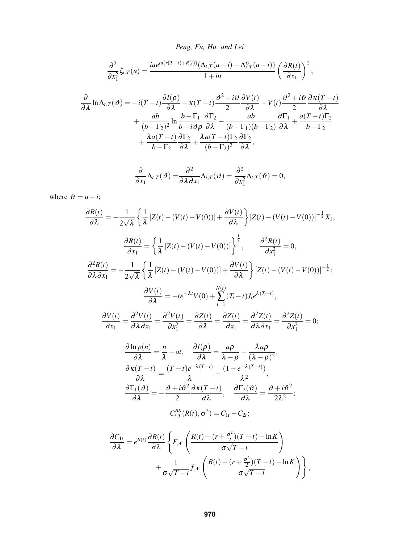$$
\frac{\partial^2}{\partial x_1^2} \zeta_{t,T}(u) = \frac{iue^{iu(r(T-t)+R(t))}(\Lambda_{t,T}(u-i) - \Lambda_{t,T}^{\sigma}(u-i))}{1+iu} \left(\frac{\partial R(t)}{\partial x_1}\right)^2;
$$

$$
\frac{\partial}{\partial \lambda} \ln \Lambda_{t,T}(\vartheta) = -i(T-t) \frac{\partial l(\rho)}{\partial \lambda} - \kappa (T-t) \frac{\vartheta^2 + i \vartheta}{2} \frac{\partial V(t)}{\partial \lambda} - V(t) \frac{\vartheta^2 + i \vartheta}{2} \frac{\partial \kappa (T-t)}{\partial \lambda} \n+ \frac{ab}{(b-\Gamma_2)^2} \ln \frac{b-\Gamma_1}{b-i \vartheta \rho} \frac{\partial \Gamma_2}{\partial \lambda} - \frac{ab}{(b-\Gamma_1)(b-\Gamma_2)} \frac{\partial \Gamma_1}{\partial \lambda} + \frac{a(T-t)\Gamma_2}{b-\Gamma_2} \n+ \frac{\lambda a(T-t)}{b-\Gamma_2} \frac{\partial \Gamma_2}{\partial \lambda} + \frac{\lambda a(T-t)\Gamma_2}{(b-\Gamma_2)^2} \frac{\partial \Gamma_2}{\partial \lambda},
$$

$$
\frac{\partial}{\partial x_1} \Lambda_{t,T}(\vartheta) = \frac{\partial^2}{\partial \lambda \partial x_1} \Lambda_{t,T}(\vartheta) = \frac{\partial^2}{\partial x_1^2} \Lambda_{t,T}(\vartheta) = 0,
$$

where  $\vartheta = u - i$ ;

$$
\frac{\partial R(t)}{\partial \lambda} = -\frac{1}{2\sqrt{\lambda}} \left\{ \frac{1}{\lambda} \left[ Z(t) - (V(t) - V(0)) \right] + \frac{\partial V(t)}{\partial \lambda} \right\} \left[ Z(t) - (V(t) - V(0)) \right]^{-\frac{1}{2}} X_1,
$$
\n
$$
\frac{\partial R(t)}{\partial x_1} = \left\{ \frac{1}{\lambda} \left[ Z(t) - (V(t) - V(0)) \right] \right\}^{\frac{1}{2}}, \qquad \frac{\partial^2 R(t)}{\partial x_1^2} = 0,
$$
\n
$$
\frac{\partial^2 R(t)}{\partial \lambda \partial x_1} = -\frac{1}{2\sqrt{\lambda}} \left\{ \frac{1}{\lambda} \left[ Z(t) - (V(t) - V(0)) \right] + \frac{\partial V(t)}{\partial \lambda} \right\} \left[ Z(t) - (V(t) - V(0)) \right]^{-\frac{1}{2}};
$$
\n
$$
\frac{\partial V(t)}{\partial \lambda} = -te^{-\lambda t} V(0) + \sum_{i=1}^{N(t)} (T_i - t) J_i e^{\lambda (T_i - t)},
$$
\n
$$
\frac{\partial V(t)}{\partial x_1} = \frac{\partial^2 V(t)}{\partial \lambda \partial x_1} = \frac{\partial^2 V(t)}{\partial x_1^2} = \frac{\partial Z(t)}{\partial \lambda} = \frac{\partial Z(t)}{\partial x_1} = \frac{\partial^2 Z(t)}{\partial \lambda \partial x_1} = \frac{\partial^2 Z(t)}{\partial x_1^2} = 0;
$$
\n
$$
\frac{\partial \ln p(n)}{\partial \lambda} = \frac{n}{\lambda} - at, \qquad \frac{\partial I(\rho)}{\partial \lambda} = \frac{a\rho}{\lambda - \rho} - \frac{\lambda a\rho}{(\lambda - \rho)^2},
$$
\n
$$
\frac{\partial \kappa(T - t)}{\partial \lambda} = \frac{(T - t)e^{-\lambda(T - t)}}{\lambda} - \frac{(1 - e^{-\lambda(T - t)})}{\lambda^2},
$$
\n
$$
\frac{\partial \Gamma_1(\vartheta)}{\partial \lambda} = -\frac{\vartheta + i\vartheta^2}{2} \frac{\partial \kappa(T - t)}{\partial \lambda}, \qquad \frac{\partial \Gamma_2(\vartheta)}{\partial \lambda} = \frac{\vartheta + i\vartheta^2}{2\lambda^2};
$$
\n
$$
C_{t,T}^{BS}(
$$

$$
\frac{\partial C_{1t}}{\partial \lambda} = e^{R(t)} \frac{\partial R(t)}{\partial \lambda} \left\{ F_{\mathcal{N}} \left( \frac{R(t) + (r + \frac{\sigma^2}{2})(T - t) - \ln K}{\sigma \sqrt{T - t}} \right) + \frac{1}{\sigma \sqrt{T - t}} f_{\mathcal{N}} \left( \frac{R(t) + (r + \frac{\sigma^2}{2})(T - t) - \ln K}{\sigma \sqrt{T - t}} \right) \right\},\
$$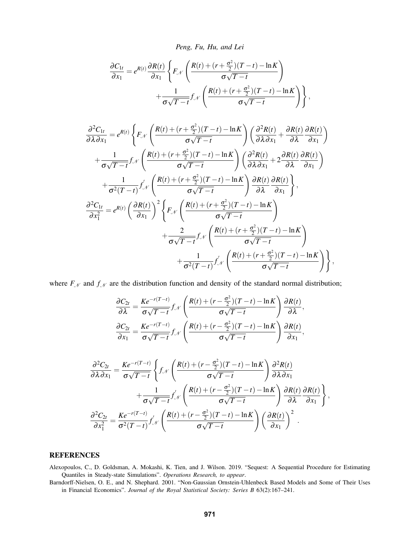*Peng, Fu, Hu, and Lei*

$$
\frac{\partial C_{1t}}{\partial x_1} = e^{R(t)} \frac{\partial R(t)}{\partial x_1} \left\{ F_{\mathcal{N}} \left( \frac{R(t) + (r + \frac{\sigma^2}{2})(T - t) - \ln K}{\sigma \sqrt{T - t}} \right) + \frac{1}{\sigma \sqrt{T - t}} f_{\mathcal{N}} \left( \frac{R(t) + (r + \frac{\sigma^2}{2})(T - t) - \ln K}{\sigma \sqrt{T - t}} \right) \right\},\
$$

$$
\frac{\partial^2 C_{1t}}{\partial \lambda \partial x_1} = e^{R(t)} \left\{ F_{\mathcal{N}} \left( \frac{R(t) + (r + \frac{\sigma^2}{2})(T - t) - \ln K}{\sigma \sqrt{T - t}} \right) \left( \frac{\partial^2 R(t)}{\partial \lambda \partial x_1} + \frac{\partial R(t)}{\partial \lambda} \frac{\partial R(t)}{\partial x_1} \right) \right\} \n+ \frac{1}{\sigma \sqrt{T - t}} f_{\mathcal{N}} \left( \frac{R(t) + (r + \frac{\sigma^2}{2})(T - t) - \ln K}{\sigma \sqrt{T - t}} \right) \left( \frac{\partial^2 R(t)}{\partial \lambda \partial x_1} + 2 \frac{\partial R(t)}{\partial \lambda} \frac{\partial R(t)}{\partial x_1} \right) \n+ \frac{1}{\sigma^2 (T - t)} f_{\mathcal{N}}' \left( \frac{R(t) + (r + \frac{\sigma^2}{2})(T - t) - \ln K}{\sigma \sqrt{T - t}} \right) \frac{\partial R(t)}{\partial \lambda} \frac{\partial R(t)}{\partial x_1} \right\},\newline
$$
  
\n
$$
\frac{\partial^2 C_{1t}}{\partial x_1^2} = e^{R(t)} \left( \frac{\partial R(t)}{\partial x_1} \right)^2 \left\{ F_{\mathcal{N}} \left( \frac{R(t) + (r + \frac{\sigma^2}{2})(T - t) - \ln K}{\sigma \sqrt{T - t}} \right) + \frac{2}{\sigma \sqrt{T - t}} f_{\mathcal{N}} \left( \frac{R(t) + (r + \frac{\sigma^2}{2})(T - t) - \ln K}{\sigma \sqrt{T - t}} \right) + \frac{1}{\sigma^2 (T - t)} f_{\mathcal{N}}' \left( \frac{R(t) + (r + \frac{\sigma^2}{2})(T - t) - \ln K}{\sigma \sqrt{T - t}} \right) \right\},\newline
$$

where  $F_N$  and  $f_N$  are the distribution function and density of the standard normal distribution;

$$
\frac{\partial C_{2t}}{\partial \lambda} = \frac{Ke^{-r(T-t)}}{\sigma\sqrt{T-t}} f_{\mathcal{N}}\left(\frac{R(t) + (r - \frac{\sigma^2}{2})(T-t) - \ln K}{\sigma\sqrt{T-t}}\right) \frac{\partial R(t)}{\partial \lambda},
$$

$$
\frac{\partial C_{2t}}{\partial x_1} = \frac{Ke^{-r(T-t)}}{\sigma\sqrt{T-t}} f_{\mathcal{N}}\left(\frac{R(t) + (r - \frac{\sigma^2}{2})(T-t) - \ln K}{\sigma\sqrt{T-t}}\right) \frac{\partial R(t)}{\partial x_1},
$$

$$
\frac{\partial^2 C_{2t}}{\partial \lambda \partial x_1} = \frac{Ke^{-r(T-t)}}{\sigma \sqrt{T-t}} \left\{ f_{\mathcal{N}} \left( \frac{R(t) + (r - \frac{\sigma^2}{2})(T-t) - \ln K}{\sigma \sqrt{T-t}} \right) \frac{\partial^2 R(t)}{\partial \lambda \partial x_1} + \frac{1}{\sigma \sqrt{T-t}} f'_{\mathcal{N}} \left( \frac{R(t) + (r - \frac{\sigma^2}{2})(T-t) - \ln K}{\sigma \sqrt{T-t}} \right) \frac{\partial R(t)}{\partial \lambda} \frac{\partial R(t)}{\partial x_1} \right\},\
$$

$$
\frac{\partial^2 C_{2t}}{\partial x_1^2} = \frac{Ke^{-r(T-t)}}{\sigma^2(T-t)} f'_{\mathcal{N}} \left( \frac{R(t) + (r - \frac{\sigma^2}{2})(T-t) - \ln K}{\sigma \sqrt{T-t}} \right) \left( \frac{\partial R(t)}{\partial x_1} \right)^2.
$$

# **REFERENCES**

<span id="page-9-0"></span>Alexopoulos, C., D. Goldsman, A. Mokashi, K. Tien, and J. Wilson. 2019. "Sequest: A Sequential Procedure for Estimating Quantiles in Steady-state Simulations". *Operations Research, to appear*.

<span id="page-9-1"></span>Barndorff-Nielsen, O. E., and N. Shephard. 2001. "Non-Gaussian Ornstein-Uhlenbeck Based Models and Some of Their Uses in Financial Economics". *Journal of the Royal Statistical Society: Series B* 63(2):167–241.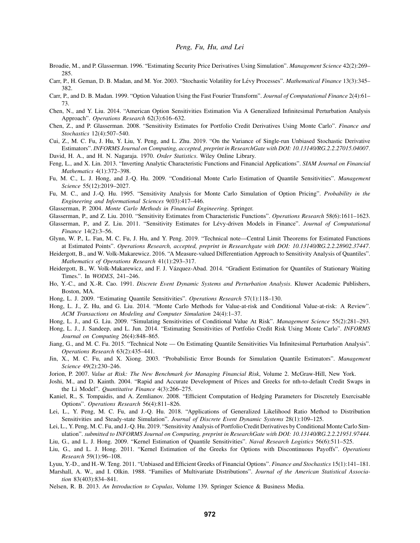- <span id="page-10-14"></span>Broadie, M., and P. Glasserman. 1996. "Estimating Security Price Derivatives Using Simulation". *Management Science* 42(2):269– 285.
- <span id="page-10-32"></span>Carr, P., H. Geman, D. B. Madan, and M. Yor. 2003. "Stochastic Volatility for Levy Processes". ´ *Mathematical Finance* 13(3):345– 382.
- <span id="page-10-31"></span>Carr, P., and D. B. Madan. 1999. "Option Valuation Using the Fast Fourier Transform". *Journal of Computational Finance* 2(4):61– 73.
- <span id="page-10-19"></span>Chen, N., and Y. Liu. 2014. "American Option Sensitivities Estimation Via A Generalized Infinitesimal Perturbation Analysis Approach". *Operations Research* 62(3):616–632.
- <span id="page-10-23"></span>Chen, Z., and P. Glasserman. 2008. "Sensitivity Estimates for Portfolio Credit Derivatives Using Monte Carlo". *Finance and Stochastics* 12(4):507–540.
- <span id="page-10-27"></span>Cui, Z., M. C. Fu, J. Hu, Y. Liu, Y. Peng, and L. Zhu. 2019. "On the Variance of Single-run Unbiased Stochastic Derivative Estimators". *INFORMS Journal on Computing, accepted, preprint in ResearchGate with DOI: 10.13140/RG.2.2.27015.04007*.
- <span id="page-10-1"></span>David, H. A., and H. N. Nagaraja. 1970. *Order Statistics*. Wiley Online Library.
- <span id="page-10-30"></span>Feng, L., and X. Lin. 2013. "Inverting Analytic Characteristic Functions and Financial Applications". *SIAM Journal on Financial Mathematics* 4(1):372–398.
- <span id="page-10-5"></span>Fu, M. C., L. J. Hong, and J.-Q. Hu. 2009. "Conditional Monte Carlo Estimation of Quantile Sensitivities". *Management Science* 55(12):2019–2027.
- <span id="page-10-13"></span>Fu, M. C., and J.-Q. Hu. 1995. "Sensitivity Analysis for Monte Carlo Simulation of Option Pricing". *Probability in the Engineering and Informational Sciences* 9(03):417–446.
- <span id="page-10-15"></span>Glasserman, P. 2004. *Monte Carlo Methods in Financial Engineering*. Springer.
- <span id="page-10-20"></span>Glasserman, P., and Z. Liu. 2010. "Sensitivity Estimates from Characteristic Functions". *Operations Research* 58(6):1611–1623.
- <span id="page-10-21"></span>Glasserman, P., and Z. Liu. 2011. "Sensitivity Estimates for Lévy-driven Models in Finance". *Journal of Computational Finance* 14(2):3–56.
- <span id="page-10-12"></span>Glynn, W. P., L. Fan, M. C. Fu, J. Hu, and Y. Peng. 2019. "Technical note—Central Limit Theorems for Estimated Functions at Estimated Points". *Operations Research, accepted, preprint in Researchgate with DOI: 10.13140/RG.2.2.28902.37447*.
- <span id="page-10-10"></span>Heidergott, B., and W. Volk-Makarewicz. 2016. "A Measure-valued Differentiation Approach to Sensitivity Analysis of Quantiles". *Mathematics of Operations Research* 41(1):293–317.
- <span id="page-10-7"></span>Heidergott, B., W. Volk-Makarewicz, and F. J. Vázquez-Abad. 2014. "Gradient Estimation for Quantiles of Stationary Waiting Times.". In *WODES*, 241–246.
- <span id="page-10-26"></span>Ho, Y.-C., and X.-R. Cao. 1991. *Discrete Event Dynamic Systems and Perturbation Analysis*. Kluwer Academic Publishers, Boston, MA.
- <span id="page-10-3"></span>Hong, L. J. 2009. "Estimating Quantile Sensitivities". *Operations Research* 57(1):118–130.
- <span id="page-10-8"></span>Hong, L. J., Z. Hu, and G. Liu. 2014. "Monte Carlo Methods for Value-at-risk and Conditional Value-at-risk: A Review". *ACM Transactions on Modeling and Computer Simulation* 24(4):1–37.
- <span id="page-10-6"></span>Hong, L. J., and G. Liu. 2009. "Simulating Sensitivities of Conditional Value At Risk". *Management Science* 55(2):281–293.
- <span id="page-10-24"></span>Hong, L. J., J. Sandeep, and L. Jun. 2014. "Estimating Sensitivities of Portfolio Credit Risk Using Monte Carlo". *INFORMS Journal on Computing* 26(4):848–865.
- <span id="page-10-9"></span>Jiang, G., and M. C. Fu. 2015. "Technical Note — On Estimating Quantile Sensitivities Via Infinitesimal Perturbation Analysis". *Operations Research* 63(2):435–441.
- <span id="page-10-2"></span>Jin, X., M. C. Fu, and X. Xiong. 2003. "Probabilistic Error Bounds for Simulation Quantile Estimators". *Management Science* 49(2):230–246.
- <span id="page-10-0"></span>Jorion, P. 2007. *Value at Risk: The New Benchmark for Managing Financial Risk*, Volume 2. McGraw-Hill, New York.
- <span id="page-10-22"></span>Joshi, M., and D. Kainth. 2004. "Rapid and Accurate Development of Prices and Greeks for nth-to-default Credit Swaps in the Li Model". *Quantitative Finance* 4(3):266–275.
- <span id="page-10-16"></span>Kaniel, R., S. Tompaidis, and A. Zemlianov. 2008. "Efficient Computation of Hedging Parameters for Discretely Exercisable Options". *Operations Research* 56(4):811–826.
- <span id="page-10-11"></span>Lei, L., Y. Peng, M. C. Fu, and J.-Q. Hu. 2018. "Applications of Generalized Likelihood Ratio Method to Distribution Sensitivities and Steady-state Simulation". *Journal of Discrete Event Dynamic Systems* 28(1):109–125.
- <span id="page-10-25"></span>Lei, L., Y. Peng, M. C. Fu, and J.-Q. Hu. 2019. "Sensitivity Analysis of Portfolio Credit Derivatives by Conditional Monte Carlo Simulation". *submitted to INFORMS Journal on Computing, preprint in ResearchGate with DOI: 10.13140/RG.2.2.21951.97444*.
- <span id="page-10-4"></span>Liu, G., and L. J. Hong. 2009. "Kernel Estimation of Quantile Sensitivities". *Naval Research Logistics* 56(6):511–525.
- <span id="page-10-18"></span>Liu, G., and L. J. Hong. 2011. "Kernel Estimation of the Greeks for Options with Discontinuous Payoffs". *Operations Research* 59(1):96–108.
- <span id="page-10-17"></span>Lyuu, Y.-D., and H.-W. Teng. 2011. "Unbiased and Efficient Greeks of Financial Options". *Finance and Stochastics* 15(1):141–181.
- <span id="page-10-29"></span>Marshall, A. W., and I. Olkin. 1988. "Families of Multivariate Distributions". *Journal of the American Statistical Association* 83(403):834–841.
- <span id="page-10-28"></span>Nelsen, R. B. 2013. *An Introduction to Copulas*, Volume 139. Springer Science & Business Media.